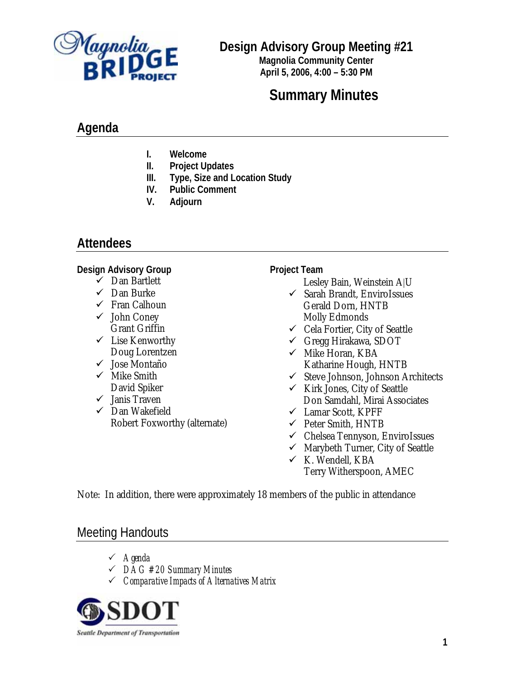

**Design Advisory Group Meeting #21** 

**Magnolia Community Center April 5, 2006, 4:00 – 5:30 PM**

# **Summary Minutes**

## **Agenda**

- **I. Welcome**
- **II. Project Updates**
- **III. Type, Size and Location Study**
- **IV. Public Comment**
- **V. Adjourn**

## **Attendees**

#### **Design Advisory Group**

- $\checkmark$  Dan Bartlett
- $\checkmark$  Dan Burke
- $\checkmark$  Fran Calhoun
- $\checkmark$  John Coney Grant Griffin
- $\checkmark$  Lise Kenworthy Doug Lorentzen
- $\checkmark$  Jose Montaño
- $\checkmark$  Mike Smith David Spiker
- $\checkmark$  Janis Traven
- $\checkmark$  Dan Wakefield Robert Foxworthy (alternate)

#### **Project Team**

Lesley Bain, Weinstein A|U

- $\checkmark$  Sarah Brandt, EnviroIssues Gerald Dorn, HNTB Molly Edmonds
- $\checkmark$  Cela Fortier, City of Seattle
- $\checkmark$  Gregg Hirakawa, SDOT
- $\checkmark$  Mike Horan, KBA Katharine Hough, HNTB
- $\checkmark$  Steve Johnson, Johnson Architects
- $\checkmark$  Kirk Jones, City of Seattle Don Samdahl, Mirai Associates
- $\checkmark$  Lamar Scott, KPFF
- $\checkmark$  Peter Smith, HNTB
- $\checkmark$  Chelsea Tennyson, EnviroIssues
- $\checkmark$  Marybeth Turner, City of Seattle
- $\times$  K. Wendell, KBA Terry Witherspoon, AMEC

Note: In addition, there were approximately 18 members of the public in attendance

## Meeting Handouts

- 3 *Agenda*
- 3 *DAG #20 Summary Minutes*
- 3 *Comparative Impacts of Alternatives Matrix*

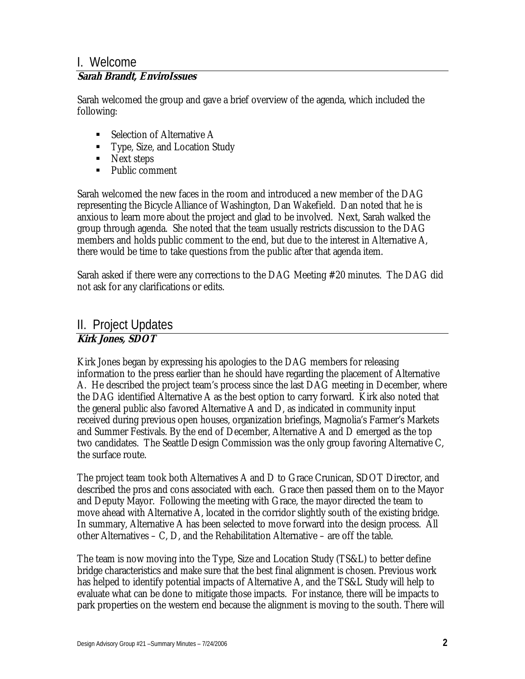### I. Welcome

#### **Sarah Brandt, EnviroIssues**

Sarah welcomed the group and gave a brief overview of the agenda, which included the following:

- Selection of Alternative A
- Type, Size, and Location Study
- Next steps
- Public comment

Sarah welcomed the new faces in the room and introduced a new member of the DAG representing the Bicycle Alliance of Washington, Dan Wakefield. Dan noted that he is anxious to learn more about the project and glad to be involved. Next, Sarah walked the group through agenda. She noted that the team usually restricts discussion to the DAG members and holds public comment to the end, but due to the interest in Alternative A, there would be time to take questions from the public after that agenda item.

Sarah asked if there were any corrections to the DAG Meeting #20 minutes. The DAG did not ask for any clarifications or edits.

## II. Project Updates

#### **Kirk Jones, SDOT**

Kirk Jones began by expressing his apologies to the DAG members for releasing information to the press earlier than he should have regarding the placement of Alternative A. He described the project team's process since the last DAG meeting in December, where the DAG identified Alternative A as the best option to carry forward. Kirk also noted that the general public also favored Alternative A and D, as indicated in community input received during previous open houses, organization briefings, Magnolia's Farmer's Markets and Summer Festivals. By the end of December, Alternative A and D emerged as the top two candidates. The Seattle Design Commission was the only group favoring Alternative C, the surface route.

The project team took both Alternatives A and D to Grace Crunican, SDOT Director, and described the pros and cons associated with each. Grace then passed them on to the Mayor and Deputy Mayor. Following the meeting with Grace, the mayor directed the team to move ahead with Alternative A, located in the corridor slightly south of the existing bridge. In summary, Alternative A has been selected to move forward into the design process. All other Alternatives – C, D, and the Rehabilitation Alternative – are off the table.

The team is now moving into the Type, Size and Location Study (TS&L) to better define bridge characteristics and make sure that the best final alignment is chosen. Previous work has helped to identify potential impacts of Alternative A, and the TS&L Study will help to evaluate what can be done to mitigate those impacts. For instance, there will be impacts to park properties on the western end because the alignment is moving to the south. There will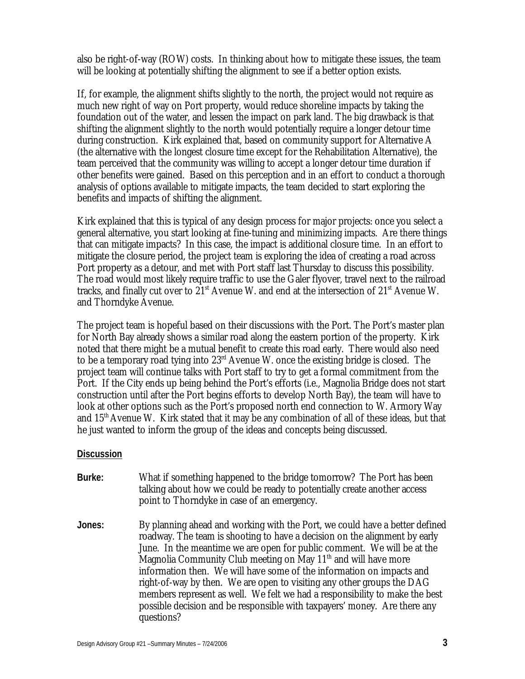also be right-of-way (ROW) costs. In thinking about how to mitigate these issues, the team will be looking at potentially shifting the alignment to see if a better option exists.

If, for example, the alignment shifts slightly to the north, the project would not require as much new right of way on Port property, would reduce shoreline impacts by taking the foundation out of the water, and lessen the impact on park land. The big drawback is that shifting the alignment slightly to the north would potentially require a longer detour time during construction. Kirk explained that, based on community support for Alternative A (the alternative with the longest closure time except for the Rehabilitation Alternative), the team perceived that the community was willing to accept a longer detour time duration if other benefits were gained. Based on this perception and in an effort to conduct a thorough analysis of options available to mitigate impacts, the team decided to start exploring the benefits and impacts of shifting the alignment.

Kirk explained that this is typical of any design process for major projects: once you select a general alternative, you start looking at fine-tuning and minimizing impacts. Are there things that can mitigate impacts? In this case, the impact is additional closure time. In an effort to mitigate the closure period, the project team is exploring the idea of creating a road across Port property as a detour, and met with Port staff last Thursday to discuss this possibility. The road would most likely require traffic to use the Galer flyover, travel next to the railroad tracks, and finally cut over to  $21<sup>st</sup>$  Avenue W. and end at the intersection of  $21<sup>st</sup>$  Avenue W. and Thorndyke Avenue.

The project team is hopeful based on their discussions with the Port. The Port's master plan for North Bay already shows a similar road along the eastern portion of the property. Kirk noted that there might be a mutual benefit to create this road early. There would also need to be a temporary road tying into 23rd Avenue W. once the existing bridge is closed. The project team will continue talks with Port staff to try to get a formal commitment from the Port. If the City ends up being behind the Port's efforts (i.e., Magnolia Bridge does not start construction until after the Port begins efforts to develop North Bay), the team will have to look at other options such as the Port's proposed north end connection to W. Armory Way and  $15<sup>th</sup>$  Avenue W. Kirk stated that it may be any combination of all of these ideas, but that he just wanted to inform the group of the ideas and concepts being discussed.

#### **Discussion**

- **Burke:** What if something happened to the bridge tomorrow? The Port has been talking about how we could be ready to potentially create another access point to Thorndyke in case of an emergency.
- **Jones:** By planning ahead and working with the Port, we could have a better defined roadway. The team is shooting to have a decision on the alignment by early June. In the meantime we are open for public comment. We will be at the Magnolia Community Club meeting on May  $11<sup>th</sup>$  and will have more information then. We will have some of the information on impacts and right-of-way by then. We are open to visiting any other groups the DAG members represent as well. We felt we had a responsibility to make the best possible decision and be responsible with taxpayers' money. Are there any questions?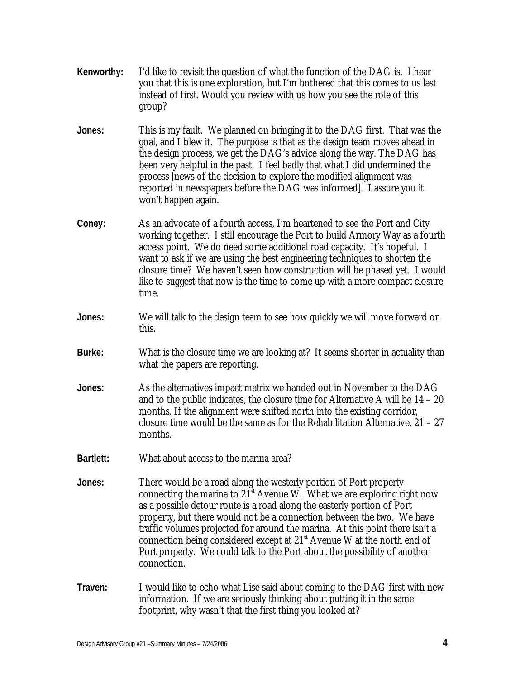- **Kenworthy:** I'd like to revisit the question of what the function of the DAG is. I hear you that this is one exploration, but I'm bothered that this comes to us last instead of first. Would you review with us how you see the role of this group?
- **Jones:** This is my fault. We planned on bringing it to the DAG first. That was the goal, and I blew it. The purpose is that as the design team moves ahead in the design process, we get the DAG's advice along the way. The DAG has been very helpful in the past. I feel badly that what I did undermined the process [news of the decision to explore the modified alignment was reported in newspapers before the DAG was informed]. I assure you it won't happen again.
- **Coney:** As an advocate of a fourth access, I'm heartened to see the Port and City working together. I still encourage the Port to build Armory Way as a fourth access point. We do need some additional road capacity. It's hopeful. I want to ask if we are using the best engineering techniques to shorten the closure time? We haven't seen how construction will be phased yet. I would like to suggest that now is the time to come up with a more compact closure time.
- **Jones:** We will talk to the design team to see how quickly we will move forward on this.
- **Burke:** What is the closure time we are looking at? It seems shorter in actuality than what the papers are reporting.
- **Jones:** As the alternatives impact matrix we handed out in November to the DAG and to the public indicates, the closure time for Alternative A will be 14 – 20 months. If the alignment were shifted north into the existing corridor, closure time would be the same as for the Rehabilitation Alternative,  $21 - 27$ months.
- **Bartlett:** What about access to the marina area?
- **Jones:** There would be a road along the westerly portion of Port property connecting the marina to  $21<sup>st</sup>$  Avenue W. What we are exploring right now as a possible detour route is a road along the easterly portion of Port property, but there would not be a connection between the two. We have traffic volumes projected for around the marina. At this point there isn't a connection being considered except at 21st Avenue W at the north end of Port property. We could talk to the Port about the possibility of another connection.
- **Traven:** I would like to echo what Lise said about coming to the DAG first with new information. If we are seriously thinking about putting it in the same footprint, why wasn't that the first thing you looked at?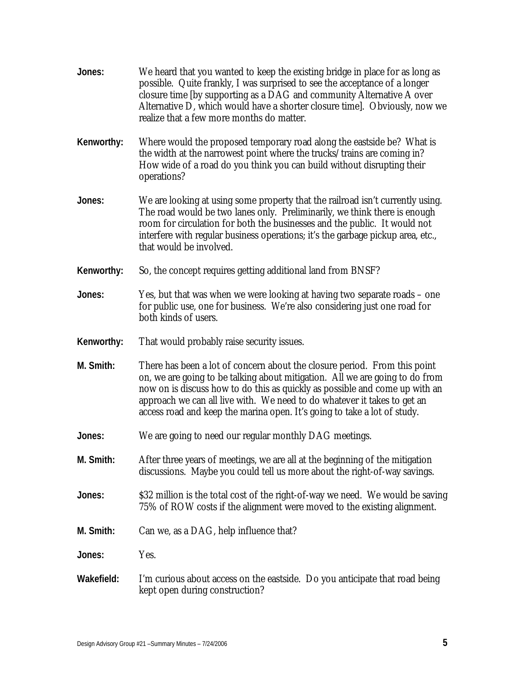**Jones:** We heard that you wanted to keep the existing bridge in place for as long as possible. Quite frankly, I was surprised to see the acceptance of a longer closure time [by supporting as a DAG and community Alternative A over Alternative D, which would have a shorter closure time]. Obviously, now we realize that a few more months do matter. **Kenworthy:** Where would the proposed temporary road along the eastside be? What is the width at the narrowest point where the trucks/trains are coming in? How wide of a road do you think you can build without disrupting their operations? **Jones:** We are looking at using some property that the railroad isn't currently using. The road would be two lanes only. Preliminarily, we think there is enough room for circulation for both the businesses and the public. It would not interfere with regular business operations; it's the garbage pickup area, etc., that would be involved. **Kenworthy:** So, the concept requires getting additional land from BNSF? **Jones:** Yes, but that was when we were looking at having two separate roads – one for public use, one for business. We're also considering just one road for both kinds of users. **Kenworthy:** That would probably raise security issues. **M. Smith:** There has been a lot of concern about the closure period. From this point on, we are going to be talking about mitigation. All we are going to do from now on is discuss how to do this as quickly as possible and come up with an approach we can all live with. We need to do whatever it takes to get an access road and keep the marina open. It's going to take a lot of study. **Jones:** We are going to need our regular monthly DAG meetings. **M. Smith:** After three years of meetings, we are all at the beginning of the mitigation discussions. Maybe you could tell us more about the right-of-way savings. **Jones:** \$32 million is the total cost of the right-of-way we need. We would be saving 75% of ROW costs if the alignment were moved to the existing alignment. **M. Smith:** Can we, as a DAG, help influence that? **Jones:** Yes. **Wakefield:** I'm curious about access on the eastside. Do you anticipate that road being kept open during construction?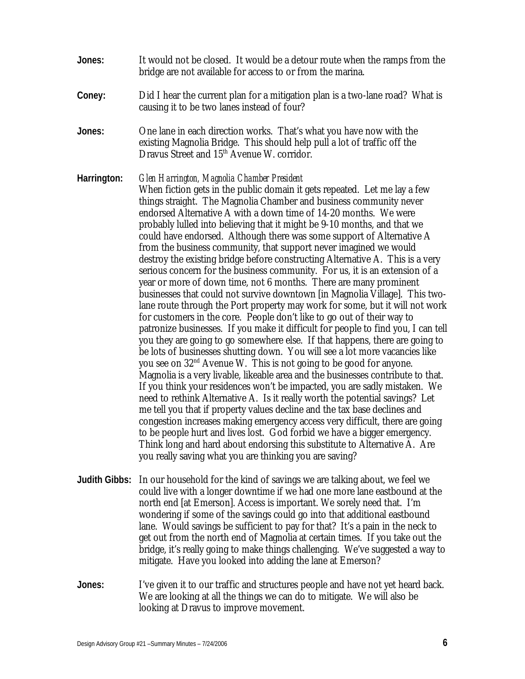- **Jones:** It would not be closed. It would be a detour route when the ramps from the bridge are not available for access to or from the marina.
- **Coney:** Did I hear the current plan for a mitigation plan is a two-lane road? What is causing it to be two lanes instead of four?
- **Jones:** One lane in each direction works. That's what you have now with the existing Magnolia Bridge. This should help pull a lot of traffic off the Dravus Street and 15<sup>th</sup> Avenue W. corridor.
- **Harrington:** *Glen Harrington, Magnolia Chamber President* When fiction gets in the public domain it gets repeated. Let me lay a few things straight. The Magnolia Chamber and business community never endorsed Alternative A with a down time of 14-20 months. We were probably lulled into believing that it might be 9-10 months, and that we could have endorsed. Although there was some support of Alternative A from the business community, that support never imagined we would destroy the existing bridge before constructing Alternative A. This is a very serious concern for the business community. For us, it is an extension of a year or more of down time, not 6 months. There are many prominent businesses that could not survive downtown [in Magnolia Village]. This twolane route through the Port property may work for some, but it will not work for customers in the core. People don't like to go out of their way to patronize businesses. If you make it difficult for people to find you, I can tell you they are going to go somewhere else. If that happens, there are going to be lots of businesses shutting down. You will see a lot more vacancies like you see on 32nd Avenue W. This is not going to be good for anyone. Magnolia is a very livable, likeable area and the businesses contribute to that. If you think your residences won't be impacted, you are sadly mistaken. We need to rethink Alternative A. Is it really worth the potential savings? Let me tell you that if property values decline and the tax base declines and congestion increases making emergency access very difficult, there are going to be people hurt and lives lost. God forbid we have a bigger emergency. Think long and hard about endorsing this substitute to Alternative A. Are you really saving what you are thinking you are saving?
- **Judith Gibbs:** In our household for the kind of savings we are talking about, we feel we could live with a longer downtime if we had one more lane eastbound at the north end [at Emerson]. Access is important. We sorely need that. I'm wondering if some of the savings could go into that additional eastbound lane. Would savings be sufficient to pay for that? It's a pain in the neck to get out from the north end of Magnolia at certain times. If you take out the bridge, it's really going to make things challenging. We've suggested a way to mitigate. Have you looked into adding the lane at Emerson?
- **Jones:** I've given it to our traffic and structures people and have not yet heard back. We are looking at all the things we can do to mitigate. We will also be looking at Dravus to improve movement.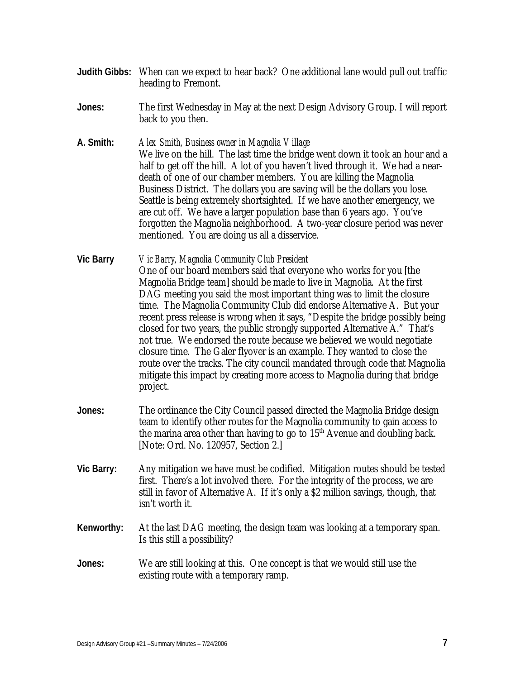- **Judith Gibbs:** When can we expect to hear back? One additional lane would pull out traffic heading to Fremont.
- **Jones:** The first Wednesday in May at the next Design Advisory Group. I will report back to you then.
- **A. Smith:** *Alex Smith, Business owner in Magnolia Village* We live on the hill. The last time the bridge went down it took an hour and a half to get off the hill. A lot of you haven't lived through it. We had a neardeath of one of our chamber members. You are killing the Magnolia Business District. The dollars you are saving will be the dollars you lose. Seattle is being extremely shortsighted. If we have another emergency, we are cut off. We have a larger population base than 6 years ago. You've forgotten the Magnolia neighborhood. A two-year closure period was never mentioned. You are doing us all a disservice.
- **Vic Barry** *Vic Barry, Magnolia Community Club President* One of our board members said that everyone who works for you [the Magnolia Bridge team] should be made to live in Magnolia. At the first DAG meeting you said the most important thing was to limit the closure time. The Magnolia Community Club did endorse Alternative A. But your recent press release is wrong when it says, "Despite the bridge possibly being closed for two years, the public strongly supported Alternative A." That's not true. We endorsed the route because we believed we would negotiate closure time. The Galer flyover is an example. They wanted to close the route over the tracks. The city council mandated through code that Magnolia mitigate this impact by creating more access to Magnolia during that bridge project.
- **Jones:** The ordinance the City Council passed directed the Magnolia Bridge design team to identify other routes for the Magnolia community to gain access to the marina area other than having to go to  $15<sup>th</sup>$  Avenue and doubling back. [Note: Ord. No. 120957, Section 2.]
- **Vic Barry:** Any mitigation we have must be codified. Mitigation routes should be tested first. There's a lot involved there. For the integrity of the process, we are still in favor of Alternative A. If it's only a \$2 million savings, though, that isn't worth it.
- **Kenworthy:** At the last DAG meeting, the design team was looking at a temporary span. Is this still a possibility?
- **Jones:** We are still looking at this. One concept is that we would still use the existing route with a temporary ramp.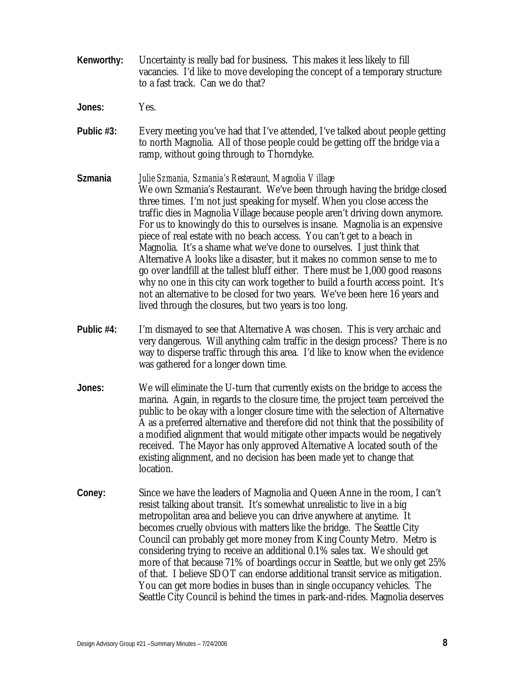- **Kenworthy:** Uncertainty is really bad for business. This makes it less likely to fill vacancies. I'd like to move developing the concept of a temporary structure to a fast track. Can we do that?
- **Jones:** Yes.
- **Public #3:** Every meeting you've had that I've attended, I've talked about people getting to north Magnolia. All of those people could be getting off the bridge via a ramp, without going through to Thorndyke.
- **Szmania** *Julie Szmania, Szmania's Resteraunt, Magnolia Village*  We own Szmania's Restaurant. We've been through having the bridge closed three times. I'm not just speaking for myself. When you close access the traffic dies in Magnolia Village because people aren't driving down anymore. For us to knowingly do this to ourselves is insane. Magnolia is an expensive piece of real estate with no beach access. You can't get to a beach in Magnolia. It's a shame what we've done to ourselves. I just think that Alternative A looks like a disaster, but it makes no common sense to me to go over landfill at the tallest bluff either. There must be 1,000 good reasons why no one in this city can work together to build a fourth access point. It's not an alternative to be closed for two years. We've been here 16 years and lived through the closures, but two years is too long.
- **Public #4:** I'm dismayed to see that Alternative A was chosen. This is very archaic and very dangerous. Will anything calm traffic in the design process? There is no way to disperse traffic through this area. I'd like to know when the evidence was gathered for a longer down time.
- **Jones:** We will eliminate the U-turn that currently exists on the bridge to access the marina. Again, in regards to the closure time, the project team perceived the public to be okay with a longer closure time with the selection of Alternative A as a preferred alternative and therefore did not think that the possibility of a modified alignment that would mitigate other impacts would be negatively received. The Mayor has only approved Alternative A located south of the existing alignment, and no decision has been made yet to change that location.
- **Coney:** Since we have the leaders of Magnolia and Queen Anne in the room, I can't resist talking about transit. It's somewhat unrealistic to live in a big metropolitan area and believe you can drive anywhere at anytime. It becomes cruelly obvious with matters like the bridge. The Seattle City Council can probably get more money from King County Metro. Metro is considering trying to receive an additional 0.1% sales tax. We should get more of that because 71% of boardings occur in Seattle, but we only get 25% of that. I believe SDOT can endorse additional transit service as mitigation. You can get more bodies in buses than in single occupancy vehicles. The Seattle City Council is behind the times in park-and-rides. Magnolia deserves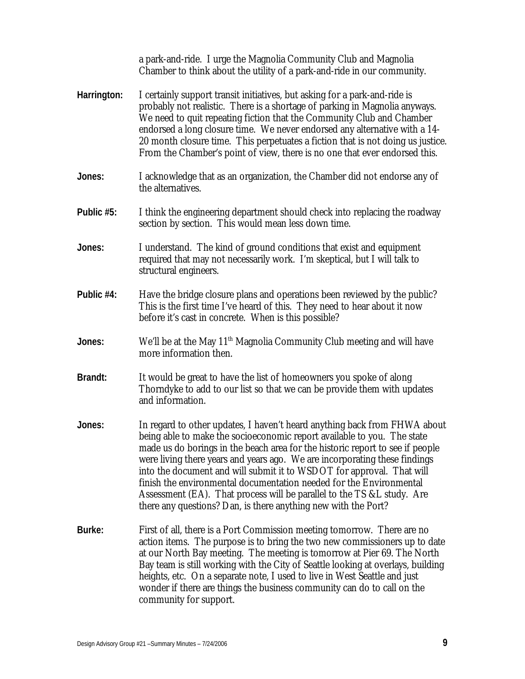|             | a park-and-ride. I urge the Magnolia Community Club and Magnolia<br>Chamber to think about the utility of a park-and-ride in our community.                                                                                                                                                                                                                                                                                                                                                                                                                                                                     |
|-------------|-----------------------------------------------------------------------------------------------------------------------------------------------------------------------------------------------------------------------------------------------------------------------------------------------------------------------------------------------------------------------------------------------------------------------------------------------------------------------------------------------------------------------------------------------------------------------------------------------------------------|
| Harrington: | I certainly support transit initiatives, but asking for a park-and-ride is<br>probably not realistic. There is a shortage of parking in Magnolia anyways.<br>We need to quit repeating fiction that the Community Club and Chamber<br>endorsed a long closure time. We never endorsed any alternative with a 14-<br>20 month closure time. This perpetuates a fiction that is not doing us justice.<br>From the Chamber's point of view, there is no one that ever endorsed this.                                                                                                                               |
| Jones:      | I acknowledge that as an organization, the Chamber did not endorse any of<br>the alternatives.                                                                                                                                                                                                                                                                                                                                                                                                                                                                                                                  |
| Public #5:  | I think the engineering department should check into replacing the roadway<br>section by section. This would mean less down time.                                                                                                                                                                                                                                                                                                                                                                                                                                                                               |
| Jones:      | I understand. The kind of ground conditions that exist and equipment<br>required that may not necessarily work. I'm skeptical, but I will talk to<br>structural engineers.                                                                                                                                                                                                                                                                                                                                                                                                                                      |
| Public #4:  | Have the bridge closure plans and operations been reviewed by the public?<br>This is the first time I've heard of this. They need to hear about it now<br>before it's cast in concrete. When is this possible?                                                                                                                                                                                                                                                                                                                                                                                                  |
| Jones:      | We'll be at the May 11 <sup>th</sup> Magnolia Community Club meeting and will have<br>more information then.                                                                                                                                                                                                                                                                                                                                                                                                                                                                                                    |
| Brandt:     | It would be great to have the list of homeowners you spoke of along<br>Thorndyke to add to our list so that we can be provide them with updates<br>and information.                                                                                                                                                                                                                                                                                                                                                                                                                                             |
| Jones:      | In regard to other updates, I haven't heard anything back from FHWA about<br>being able to make the socioeconomic report available to you. The state<br>made us do borings in the beach area for the historic report to see if people<br>were living there years and years ago. We are incorporating these findings<br>into the document and will submit it to WSDOT for approval. That will<br>finish the environmental documentation needed for the Environmental<br>Assessment (EA). That process will be parallel to the TS &L study. Are<br>there any questions? Dan, is there anything new with the Port? |
| Burke:      | First of all, there is a Port Commission meeting tomorrow. There are no<br>action items. The purpose is to bring the two new commissioners up to date<br>at our North Bay meeting. The meeting is tomorrow at Pier 69. The North<br>Bay team is still working with the City of Seattle looking at overlays, building<br>heights, etc. On a separate note, I used to live in West Seattle and just<br>wonder if there are things the business community can do to call on the<br>community for support.                                                                                                          |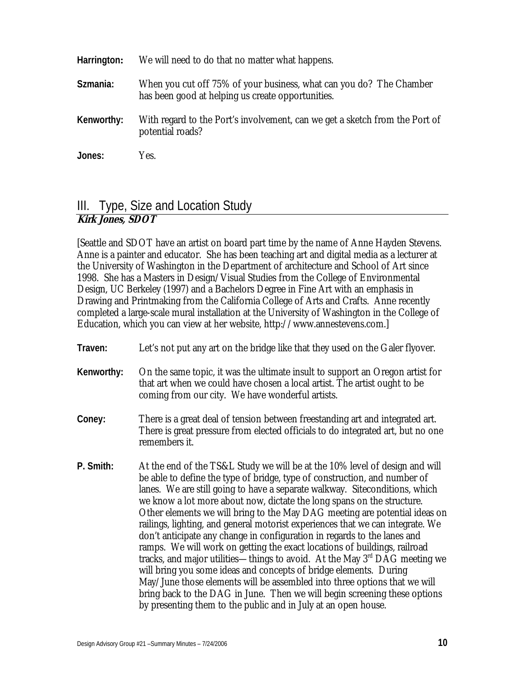| Harrington: | We will need to do that no matter what happens.                                                                          |
|-------------|--------------------------------------------------------------------------------------------------------------------------|
| Szmania:    | When you cut off 75% of your business, what can you do? The Chamber<br>has been good at helping us create opportunities. |
| Kenworthy:  | With regard to the Port's involvement, can we get a sketch from the Port of<br>potential roads?                          |
| Jones:      | Yes.                                                                                                                     |

### III. Type, Size and Location Study **Kirk Jones, SDOT**

[Seattle and SDOT have an artist on board part time by the name of Anne Hayden Stevens. Anne is a painter and educator. She has been teaching art and digital media as a lecturer at the University of Washington in the Department of architecture and School of Art since 1998. She has a Masters in Design/Visual Studies from the College of Environmental Design, UC Berkeley (1997) and a Bachelors Degree in Fine Art with an emphasis in Drawing and Printmaking from the California College of Arts and Crafts. Anne recently completed a large-scale mural installation at the University of Washington in the College of Education, which you can view at her website, http://www.annestevens.com.]

- **Traven:** Let's not put any art on the bridge like that they used on the Galer flyover.
- **Kenworthy:** On the same topic, it was the ultimate insult to support an Oregon artist for that art when we could have chosen a local artist. The artist ought to be coming from our city. We have wonderful artists.
- **Coney:** There is a great deal of tension between freestanding art and integrated art. There is great pressure from elected officials to do integrated art, but no one remembers it.
- **P. Smith:** At the end of the TS&L Study we will be at the 10% level of design and will be able to define the type of bridge, type of construction, and number of lanes. We are still going to have a separate walkway. Siteconditions, which we know a lot more about now, dictate the long spans on the structure. Other elements we will bring to the May DAG meeting are potential ideas on railings, lighting, and general motorist experiences that we can integrate. We don't anticipate any change in configuration in regards to the lanes and ramps. We will work on getting the exact locations of buildings, railroad tracks, and major utilities—things to avoid. At the May  $3<sup>rd</sup> DAG$  meeting we will bring you some ideas and concepts of bridge elements. During May/June those elements will be assembled into three options that we will bring back to the DAG in June. Then we will begin screening these options by presenting them to the public and in July at an open house.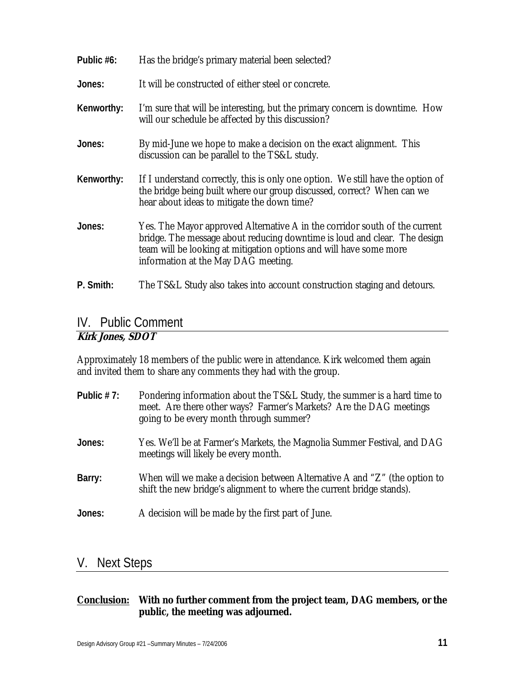| Public #6: | Has the bridge's primary material been selected?                                                                                                                                                                                                                     |
|------------|----------------------------------------------------------------------------------------------------------------------------------------------------------------------------------------------------------------------------------------------------------------------|
| Jones:     | It will be constructed of either steel or concrete.                                                                                                                                                                                                                  |
| Kenworthy: | I'm sure that will be interesting, but the primary concern is downtime. How<br>will our schedule be affected by this discussion?                                                                                                                                     |
| Jones:     | By mid-June we hope to make a decision on the exact alignment. This<br>discussion can be parallel to the TS&L study.                                                                                                                                                 |
| Kenworthy: | If I understand correctly, this is only one option. We still have the option of<br>the bridge being built where our group discussed, correct? When can we<br>hear about ideas to mitigate the down time?                                                             |
| Jones:     | Yes. The Mayor approved Alternative A in the corridor south of the current<br>bridge. The message about reducing downtime is loud and clear. The design<br>team will be looking at mitigation options and will have some more<br>information at the May DAG meeting. |
| P. Smith:  | The TS&L Study also takes into account construction staging and detours.                                                                                                                                                                                             |

# IV. Public Comment

### **Kirk Jones, SDOT**

Approximately 18 members of the public were in attendance. Kirk welcomed them again and invited them to share any comments they had with the group.

| Public $# 7:$ | Pondering information about the TS&L Study, the summer is a hard time to<br>meet. Are there other ways? Farmer's Markets? Are the DAG meetings<br>going to be every month through summer? |
|---------------|-------------------------------------------------------------------------------------------------------------------------------------------------------------------------------------------|
| Jones:        | Yes. We'll be at Farmer's Markets, the Magnolia Summer Festival, and DAG<br>meetings will likely be every month.                                                                          |
| Barry:        | When will we make a decision between Alternative A and "Z" (the option to<br>shift the new bridge's alignment to where the current bridge stands).                                        |
| Jones:        | A decision will be made by the first part of June.                                                                                                                                        |

### V. Next Steps

#### **Conclusion: With no further comment from the project team, DAG members, or the public, the meeting was adjourned.**